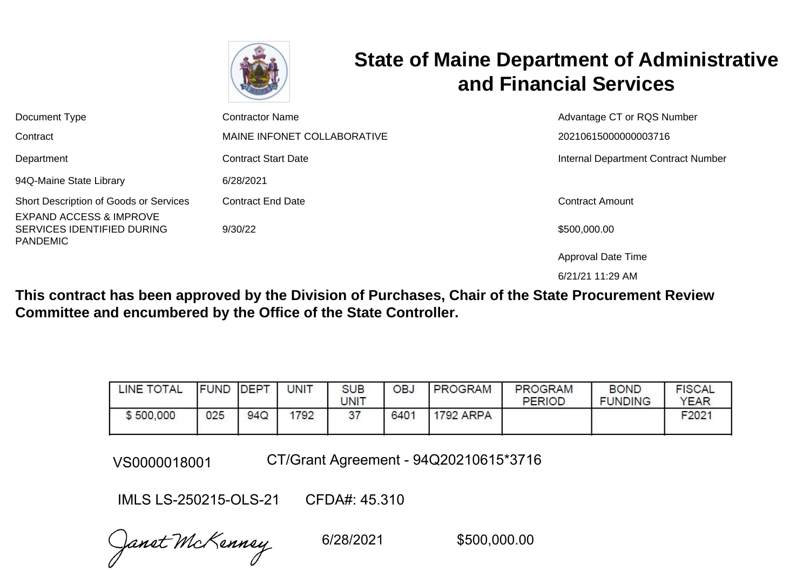

# **State of Maine Department of Administrative and Financial Services**

| Document Type                                                                                                          | Contractor Name                     | Advantage CT or RQS Number          |
|------------------------------------------------------------------------------------------------------------------------|-------------------------------------|-------------------------------------|
| Contract                                                                                                               | MAINE INFONET COLLABORATIVE         | 20210615000000003716                |
| Department                                                                                                             | <b>Contract Start Date</b>          | Internal Department Contract Number |
| 94Q-Maine State Library                                                                                                | 6/28/2021                           |                                     |
| Short Description of Goods or Services<br><b>EXPAND ACCESS &amp; IMPROVE</b><br>SERVICES IDENTIFIED DURING<br>PANDEMIC | <b>Contract End Date</b><br>9/30/22 | Contract Amount<br>\$500,000.00     |

Approval Date Time

6/21/21 11:29 AM

**This contract has been approved by the Division of Purchases, Chair of the State Procurement Review Committee and encumbered by the Office of the State Controller.**

| <b>INE TOTAL</b> | <b>FUND</b> | <b>DEPT</b> | UNIT | <b>SUB</b><br><b>JNIT</b> | <b>OBJ</b> | <b>PROGRAM</b>   | <b>PROGRAM</b><br><b>PERIOD</b> | <b>BOND</b><br><b>FUNDING</b> | <b>FISCAL</b><br><b>YEAR</b> |
|------------------|-------------|-------------|------|---------------------------|------------|------------------|---------------------------------|-------------------------------|------------------------------|
| \$500,000        | 025         | 94Q         | 1792 | 37                        | 6401       | <b>1792 ARPA</b> |                                 |                               | F2021                        |

VS0000018001 CT/Grant Agreement - 94Q20210615\*3716

IMLS LS-250215-OLS-21 CFDA#: 45.310

Janet McKenney

6/28/2021 \$500,000.00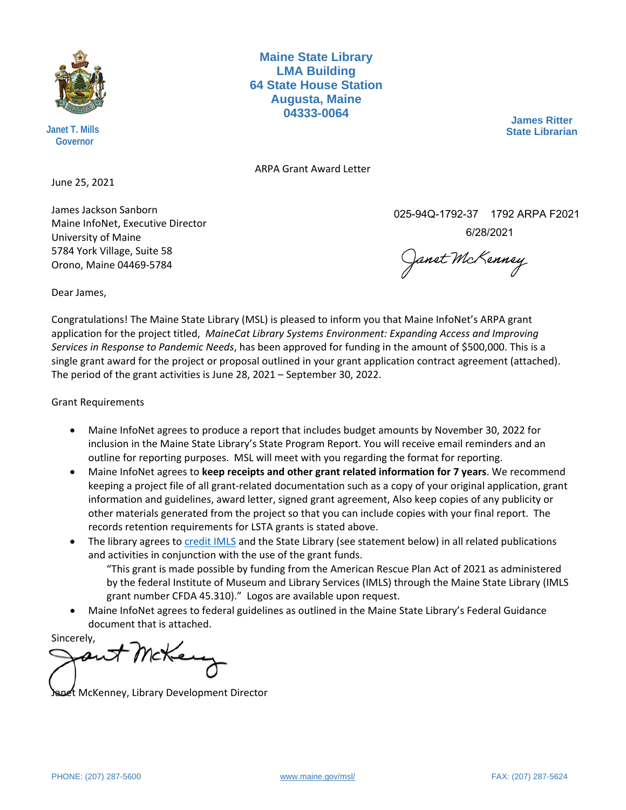

**Janet T. Mills Governor**

**Maine State Library LMA Building 64 State House Station Augusta, Maine 04333-0064**

**James Ritter State Librarian**

ARPA Grant Award Letter

June 25, 2021

James Jackson Sanborn Maine InfoNet, Executive Director University of Maine 5784 York Village, Suite 58 Orono, Maine 04469-5784

025-94Q-1792-37 1792 ARPA F2021

6/28/2021

Janet McKenney

Dear James,

Congratulations! The Maine State Library (MSL) is pleased to inform you that Maine InfoNet's ARPA grant application for the project titled, *MaineCat Library Systems Environment: Expanding Access and Improving Services in Response to Pandemic Needs*, has been approved for funding in the amount of \$500,000. This is a single grant award for the project or proposal outlined in your grant application contract agreement (attached). The period of the grant activities is June 28, 2021 – September 30, 2022.

Grant Requirements

- Maine InfoNet agrees to produce a report that includes budget amounts by November 30, 2022 for inclusion in the Maine State Library's State Program Report. You will receive email reminders and an outline for reporting purposes. MSL will meet with you regarding the format for reporting.
- Maine InfoNet agrees to **keep receipts and other grant related information for 7 years**. We recommend keeping a project file of all grant-related documentation such as a copy of your original application, grant information and guidelines, award letter, signed grant agreement, Also keep copies of any publicity or other materials generated from the project so that you can include copies with your final report. The records retention requirements for LSTA grants is stated above.
- The library agrees t[o credit IMLS](http://www.imls.gov/recipients/imls_acknowledgement.aspx) and the State Library (see statement below) in all related publications and activities in conjunction with the use of the grant funds.

"This grant is made possible by funding from the American Rescue Plan Act of 2021 as administered by the federal Institute of Museum and Library Services (IMLS) through the Maine State Library (IMLS grant number CFDA 45.310)." Logos are available upon request.

• Maine InfoNet agrees to federal guidelines as outlined in the Maine State Library's Federal Guidance document that is attached.

Sincerely,

t McKenney, Library Development Director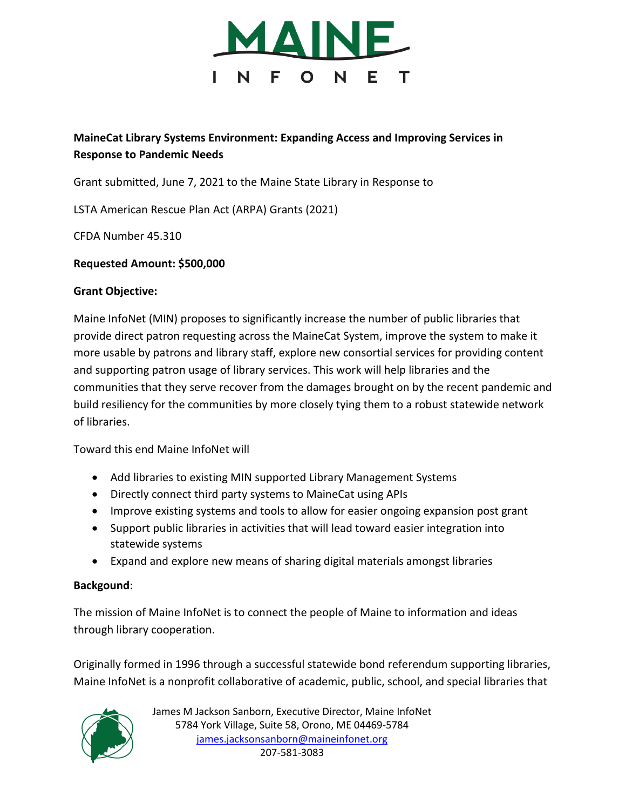

# **MaineCat Library Systems Environment: Expanding Access and Improving Services in Response to Pandemic Needs**

Grant submitted, June 7, 2021 to the Maine State Library in Response to

LSTA American Rescue Plan Act (ARPA) Grants (2021)

CFDA Number 45.310

#### **Requested Amount: \$500,000**

#### **Grant Objective:**

Maine InfoNet (MIN) proposes to significantly increase the number of public libraries that provide direct patron requesting across the MaineCat System, improve the system to make it more usable by patrons and library staff, explore new consortial services for providing content and supporting patron usage of library services. This work will help libraries and the communities that they serve recover from the damages brought on by the recent pandemic and build resiliency for the communities by more closely tying them to a robust statewide network of libraries.

Toward this end Maine InfoNet will

- Add libraries to existing MIN supported Library Management Systems
- Directly connect third party systems to MaineCat using APIs
- Improve existing systems and tools to allow for easier ongoing expansion post grant
- Support public libraries in activities that will lead toward easier integration into statewide systems
- Expand and explore new means of sharing digital materials amongst libraries

## **Backgound**:

The mission of Maine InfoNet is to connect the people of Maine to information and ideas through library cooperation.

Originally formed in 1996 through a successful statewide bond referendum supporting libraries, Maine InfoNet is a nonprofit collaborative of academic, public, school, and special libraries that

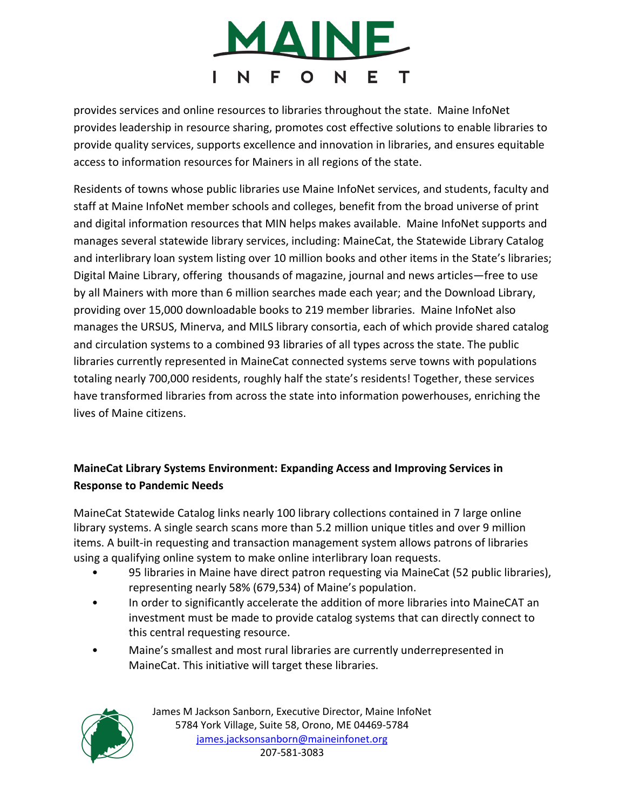

provides services and online resources to libraries throughout the state. Maine InfoNet provides leadership in resource sharing, promotes cost effective solutions to enable libraries to provide quality services, supports excellence and innovation in libraries, and ensures equitable access to information resources for Mainers in all regions of the state.

Residents of towns whose public libraries use Maine InfoNet services, and students, faculty and staff at Maine InfoNet member schools and colleges, benefit from the broad universe of print and digital information resources that MIN helps makes available. Maine InfoNet supports and manages several statewide library services, including: MaineCat, the Statewide Library Catalog and interlibrary loan system listing over 10 million books and other items in the State's libraries; Digital Maine Library, offering thousands of magazine, journal and news articles—free to use by all Mainers with more than 6 million searches made each year; and the Download Library, providing over 15,000 downloadable books to 219 member libraries. Maine InfoNet also manages the URSUS, Minerva, and MILS library consortia, each of which provide shared catalog and circulation systems to a combined 93 libraries of all types across the state. The public libraries currently represented in MaineCat connected systems serve towns with populations totaling nearly 700,000 residents, roughly half the state's residents! Together, these services have transformed libraries from across the state into information powerhouses, enriching the lives of Maine citizens.

# **MaineCat Library Systems Environment: Expanding Access and Improving Services in Response to Pandemic Needs**

MaineCat Statewide Catalog links nearly 100 library collections contained in 7 large online library systems. A single search scans more than 5.2 million unique titles and over 9 million items. A built-in requesting and transaction management system allows patrons of libraries using a qualifying online system to make online interlibrary loan requests.

- 95 libraries in Maine have direct patron requesting via MaineCat (52 public libraries), representing nearly 58% (679,534) of Maine's population.
- In order to significantly accelerate the addition of more libraries into MaineCAT an investment must be made to provide catalog systems that can directly connect to this central requesting resource.
- Maine's smallest and most rural libraries are currently underrepresented in MaineCat. This initiative will target these libraries.

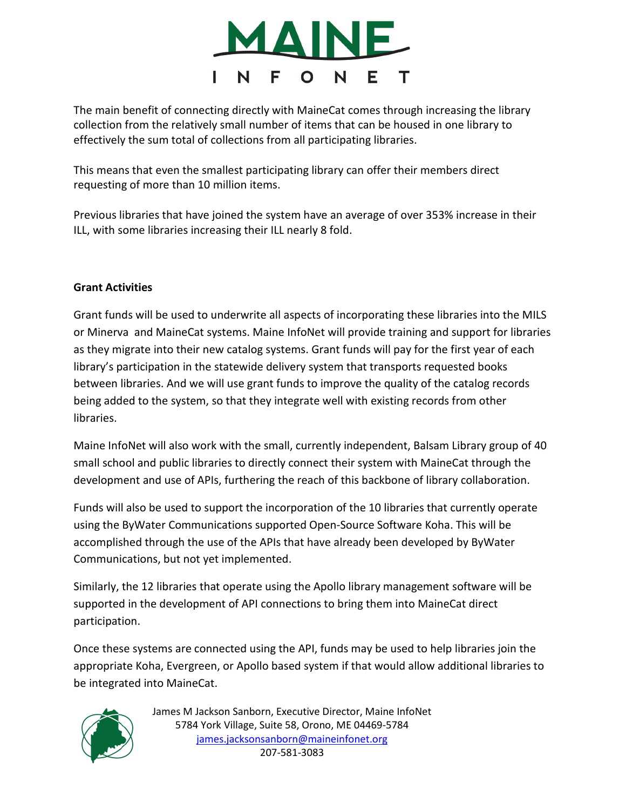

The main benefit of connecting directly with MaineCat comes through increasing the library collection from the relatively small number of items that can be housed in one library to effectively the sum total of collections from all participating libraries.

This means that even the smallest participating library can offer their members direct requesting of more than 10 million items.

Previous libraries that have joined the system have an average of over 353% increase in their ILL, with some libraries increasing their ILL nearly 8 fold.

## **Grant Activities**

Grant funds will be used to underwrite all aspects of incorporating these libraries into the MILS or Minerva and MaineCat systems. Maine InfoNet will provide training and support for libraries as they migrate into their new catalog systems. Grant funds will pay for the first year of each library's participation in the statewide delivery system that transports requested books between libraries. And we will use grant funds to improve the quality of the catalog records being added to the system, so that they integrate well with existing records from other libraries.

Maine InfoNet will also work with the small, currently independent, Balsam Library group of 40 small school and public libraries to directly connect their system with MaineCat through the development and use of APIs, furthering the reach of this backbone of library collaboration.

Funds will also be used to support the incorporation of the 10 libraries that currently operate using the ByWater Communications supported Open-Source Software Koha. This will be accomplished through the use of the APIs that have already been developed by ByWater Communications, but not yet implemented.

Similarly, the 12 libraries that operate using the Apollo library management software will be supported in the development of API connections to bring them into MaineCat direct participation.

Once these systems are connected using the API, funds may be used to help libraries join the appropriate Koha, Evergreen, or Apollo based system if that would allow additional libraries to be integrated into MaineCat.

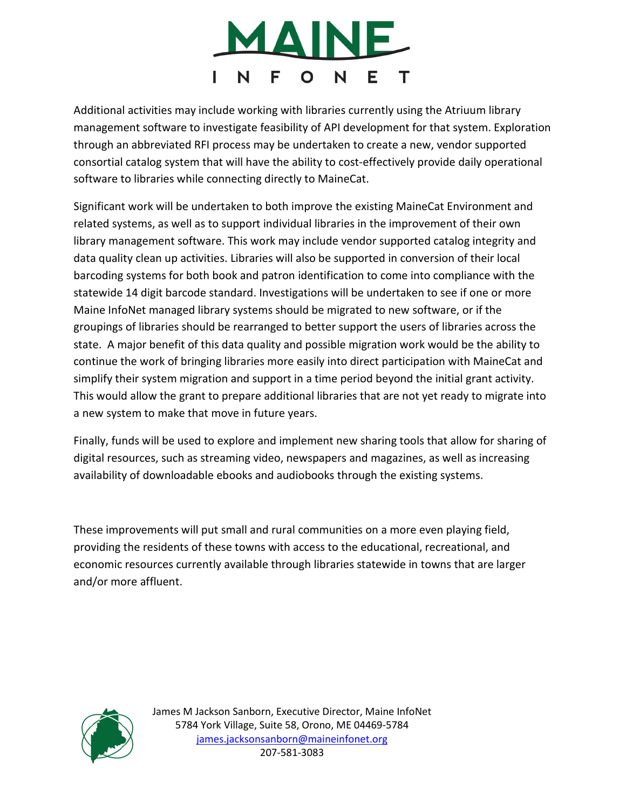

Additional activities may include working with libraries currently using the Atriuum library management software to investigate feasibility of API development for that system. Exploration through an abbreviated RFI process may be undertaken to create a new, vendor supported consortial catalog system that will have the ability to cost-effectively provide daily operational software to libraries while connecting directly to MaineCat.

Significant work will be undertaken to both improve the existing MaineCat Environment and related systems, as well as to support individual libraries in the improvement of their own library management software. This work may include vendor supported catalog integrity and data quality clean up activities. Libraries will also be supported in conversion of their local barcoding systems for both book and patron identification to come into compliance with the statewide 14 digit barcode standard. Investigations will be undertaken to see if one or more Maine InfoNet managed library systems should be migrated to new software, or if the groupings of libraries should be rearranged to better support the users of libraries across the state. A major benefit of this data quality and possible migration work would be the ability to continue the work of bringing libraries more easily into direct participation with MaineCat and simplify their system migration and support in a time period beyond the initial grant activity. This would allow the grant to prepare additional libraries that are not yet ready to migrate into a new system to make that move in future years.

Finally, funds will be used to explore and implement new sharing tools that allow for sharing of digital resources, such as streaming video, newspapers and magazines, as well as increasing availability of downloadable ebooks and audiobooks through the existing systems.

These improvements will put small and rural communities on a more even playing field, providing the residents of these towns with access to the educational, recreational, and economic resources currently available through libraries statewide in towns that are larger and/or more affluent.

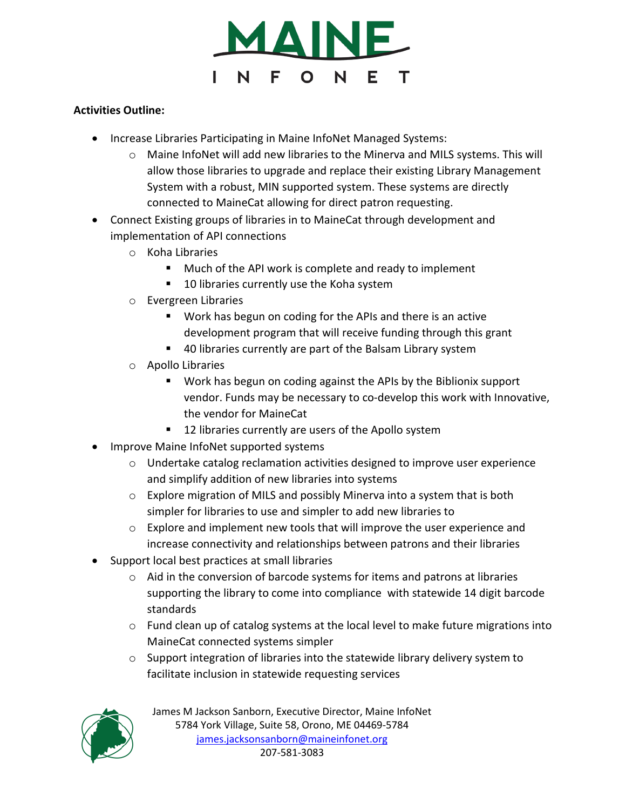

## **Activities Outline:**

- Increase Libraries Participating in Maine InfoNet Managed Systems:
	- o Maine InfoNet will add new libraries to the Minerva and MILS systems. This will allow those libraries to upgrade and replace their existing Library Management System with a robust, MIN supported system. These systems are directly connected to MaineCat allowing for direct patron requesting.
- Connect Existing groups of libraries in to MaineCat through development and implementation of API connections
	- o Koha Libraries
		- **Much of the API work is complete and ready to implement**
		- 10 libraries currently use the Koha system
	- o Evergreen Libraries
		- Work has begun on coding for the APIs and there is an active development program that will receive funding through this grant
		- 40 libraries currently are part of the Balsam Library system
	- o Apollo Libraries
		- Work has begun on coding against the APIs by the Biblionix support vendor. Funds may be necessary to co-develop this work with Innovative, the vendor for MaineCat
		- 12 libraries currently are users of the Apollo system
- Improve Maine InfoNet supported systems
	- o Undertake catalog reclamation activities designed to improve user experience and simplify addition of new libraries into systems
	- $\circ$  Explore migration of MILS and possibly Minerva into a system that is both simpler for libraries to use and simpler to add new libraries to
	- o Explore and implement new tools that will improve the user experience and increase connectivity and relationships between patrons and their libraries
- Support local best practices at small libraries
	- $\circ$  Aid in the conversion of barcode systems for items and patrons at libraries supporting the library to come into compliance with statewide 14 digit barcode standards
	- $\circ$  Fund clean up of catalog systems at the local level to make future migrations into MaineCat connected systems simpler
	- o Support integration of libraries into the statewide library delivery system to facilitate inclusion in statewide requesting services

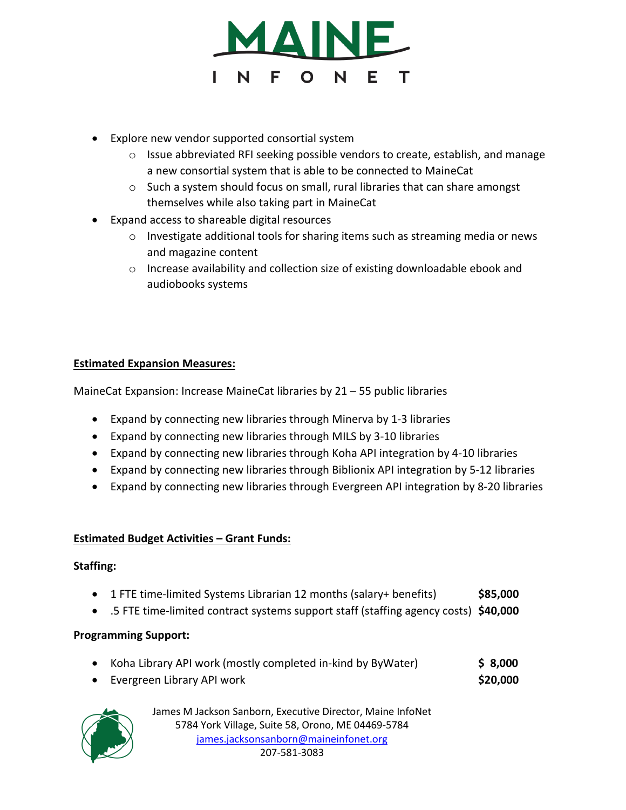

- Explore new vendor supported consortial system
	- $\circ$  Issue abbreviated RFI seeking possible vendors to create, establish, and manage a new consortial system that is able to be connected to MaineCat
	- $\circ$  Such a system should focus on small, rural libraries that can share amongst themselves while also taking part in MaineCat
- Expand access to shareable digital resources
	- o Investigate additional tools for sharing items such as streaming media or news and magazine content
	- $\circ$  Increase availability and collection size of existing downloadable ebook and audiobooks systems

# **Estimated Expansion Measures:**

MaineCat Expansion: Increase MaineCat libraries by 21 – 55 public libraries

- Expand by connecting new libraries through Minerva by 1-3 libraries
- Expand by connecting new libraries through MILS by 3-10 libraries
- Expand by connecting new libraries through Koha API integration by 4-10 libraries
- Expand by connecting new libraries through Biblionix API integration by 5-12 libraries
- Expand by connecting new libraries through Evergreen API integration by 8-20 libraries

## **Estimated Budget Activities – Grant Funds:**

## **Staffing:**

- 1 FTE time-limited Systems Librarian 12 months (salary+ benefits) **\$85,000**
- .5 FTE time-limited contract systems support staff (staffing agency costs) **\$40,000**

## **Programming Support:**

- Koha Library API work (mostly completed in-kind by ByWater) **\$ 8,000**
- Evergreen Library API work **\$20,000**